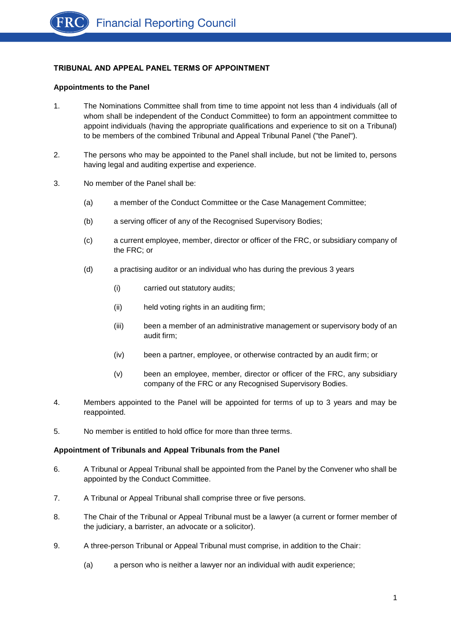

# **TRIBUNAL AND APPEAL PANEL TERMS OF APPOINTMENT**

### **Appointments to the Panel**

- 1. The Nominations Committee shall from time to time appoint not less than 4 individuals (all of whom shall be independent of the Conduct Committee) to form an appointment committee to appoint individuals (having the appropriate qualifications and experience to sit on a Tribunal) to be members of the combined Tribunal and Appeal Tribunal Panel ("the Panel").
- 2. The persons who may be appointed to the Panel shall include, but not be limited to, persons having legal and auditing expertise and experience.
- 3. No member of the Panel shall be:
	- (a) a member of the Conduct Committee or the Case Management Committee;
	- (b) a serving officer of any of the Recognised Supervisory Bodies;
	- (c) a current employee, member, director or officer of the FRC, or subsidiary company of the FRC; or
	- (d) a practising auditor or an individual who has during the previous 3 years
		- (i) carried out statutory audits;
		- (ii) held voting rights in an auditing firm;
		- (iii) been a member of an administrative management or supervisory body of an audit firm;
		- (iv) been a partner, employee, or otherwise contracted by an audit firm; or
		- (v) been an employee, member, director or officer of the FRC, any subsidiary company of the FRC or any Recognised Supervisory Bodies.
- 4. Members appointed to the Panel will be appointed for terms of up to 3 years and may be reappointed.
- 5. No member is entitled to hold office for more than three terms.

### **Appointment of Tribunals and Appeal Tribunals from the Panel**

- 6. A Tribunal or Appeal Tribunal shall be appointed from the Panel by the Convener who shall be appointed by the Conduct Committee.
- 7. A Tribunal or Appeal Tribunal shall comprise three or five persons.
- 8. The Chair of the Tribunal or Appeal Tribunal must be a lawyer (a current or former member of the judiciary, a barrister, an advocate or a solicitor).
- 9. A three-person Tribunal or Appeal Tribunal must comprise, in addition to the Chair:
	- (a) a person who is neither a lawyer nor an individual with audit experience;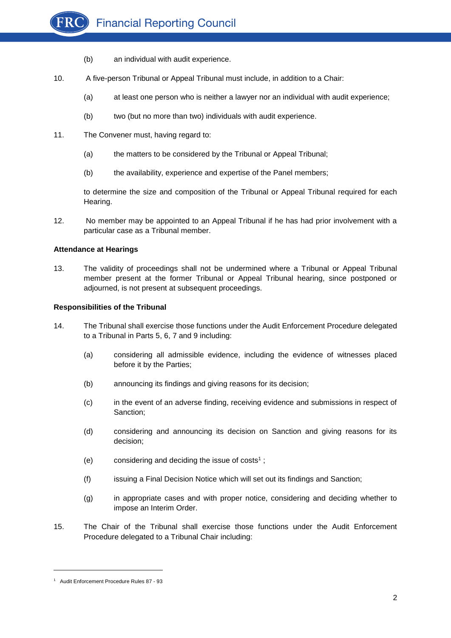- (b) an individual with audit experience.
- 10. A five-person Tribunal or Appeal Tribunal must include, in addition to a Chair:
	- (a) at least one person who is neither a lawyer nor an individual with audit experience;
	- (b) two (but no more than two) individuals with audit experience.
- 11. The Convener must, having regard to:
	- (a) the matters to be considered by the Tribunal or Appeal Tribunal;
	- (b) the availability, experience and expertise of the Panel members;

to determine the size and composition of the Tribunal or Appeal Tribunal required for each Hearing.

12. No member may be appointed to an Appeal Tribunal if he has had prior involvement with a particular case as a Tribunal member.

# **Attendance at Hearings**

13. The validity of proceedings shall not be undermined where a Tribunal or Appeal Tribunal member present at the former Tribunal or Appeal Tribunal hearing, since postponed or adjourned, is not present at subsequent proceedings.

## **Responsibilities of the Tribunal**

- 14. The Tribunal shall exercise those functions under the Audit Enforcement Procedure delegated to a Tribunal in Parts 5, 6, 7 and 9 including:
	- (a) considering all admissible evidence, including the evidence of witnesses placed before it by the Parties;
	- (b) announcing its findings and giving reasons for its decision;
	- (c) in the event of an adverse finding, receiving evidence and submissions in respect of Sanction;
	- (d) considering and announcing its decision on Sanction and giving reasons for its decision;
	- (e) considering and deciding the issue of costs<sup>1</sup> ;
	- (f) issuing a Final Decision Notice which will set out its findings and Sanction;
	- (g) in appropriate cases and with proper notice, considering and deciding whether to impose an Interim Order.
- 15. The Chair of the Tribunal shall exercise those functions under the Audit Enforcement Procedure delegated to a Tribunal Chair including:

l

<sup>1</sup> Audit Enforcement Procedure Rules 87 - 93